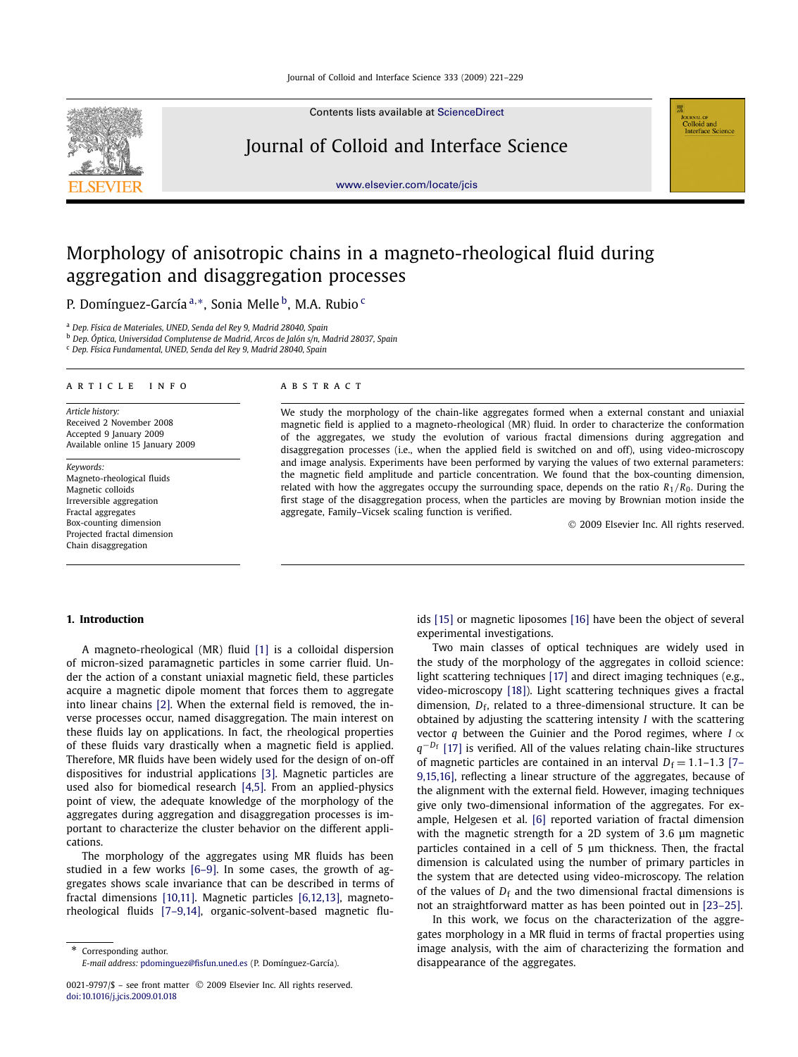

Contents lists available at [ScienceDirect](http://www.ScienceDirect.com/)

# Journal of Colloid and Interface Science

[www.elsevier.com/locate/jcis](http://www.elsevier.com/locate/jcis)

# Morphology of anisotropic chains in a magneto-rheological fluid during aggregation and disaggregation processes

P. Domínguez-García<sup>a,∗</sup>, Sonia Melle<sup>b</sup>, M.A. Rubio<sup>c</sup>

<sup>a</sup> *Dep. Física de Materiales, UNED, Senda del Rey 9, Madrid 28040, Spain*

<sup>b</sup> *Dep. Óptica, Universidad Complutense de Madrid, Arcos de Jalón s/n, Madrid 28037, Spain*

<sup>c</sup> *Dep. Física Fundamental, UNED, Senda del Rey 9, Madrid 28040, Spain*

#### article info abstract

*Article history:* Received 2 November 2008 Accepted 9 January 2009 Available online 15 January 2009

*Keywords:* Magneto-rheological fluids Magnetic colloids Irreversible aggregation Fractal aggregates Box-counting dimension Projected fractal dimension Chain disaggregation

We study the morphology of the chain-like aggregates formed when a external constant and uniaxial magnetic field is applied to a magneto-rheological (MR) fluid. In order to characterize the conformation of the aggregates, we study the evolution of various fractal dimensions during aggregation and disaggregation processes (i.e., when the applied field is switched on and off), using video-microscopy and image analysis. Experiments have been performed by varying the values of two external parameters: the magnetic field amplitude and particle concentration. We found that the box-counting dimension, related with how the aggregates occupy the surrounding space, depends on the ratio  $R_1/R_0$ . During the first stage of the disaggregation process, when the particles are moving by Brownian motion inside the aggregate, Family–Vicsek scaling function is verified.

© 2009 Elsevier Inc. All rights reserved.

**Colloid and**<br>Colloid and<br>Interface Science

# **1. Introduction**

A magneto-rheological (MR) fluid [\[1\]](#page-8-0) is a colloidal dispersion of micron-sized paramagnetic particles in some carrier fluid. Under the action of a constant uniaxial magnetic field, these particles acquire a magnetic dipole moment that forces them to aggregate into linear chains [\[2\].](#page-8-0) When the external field is removed, the inverse processes occur, named disaggregation. The main interest on these fluids lay on applications. In fact, the rheological properties of these fluids vary drastically when a magnetic field is applied. Therefore, MR fluids have been widely used for the design of on-off dispositives for industrial applications [\[3\].](#page-8-0) Magnetic particles are used also for biomedical research [\[4,5\].](#page-8-0) From an applied-physics point of view, the adequate knowledge of the morphology of the aggregates during aggregation and disaggregation processes is important to characterize the cluster behavior on the different applications.

The morphology of the aggregates using MR fluids has been studied in a few works [\[6–9\].](#page-8-0) In some cases, the growth of aggregates shows scale invariance that can be described in terms of fractal dimensions [\[10,11\].](#page-8-0) Magnetic particles [\[6,12,13\],](#page-8-0) magnetorheological fluids [\[7–9,14\],](#page-8-0) organic-solvent-based magnetic flu-

Corresponding author. *E-mail address:* [pdominguez@fisfun.uned.es](mailto:pdominguez@fisfun.uned.es) (P. Domínguez-García). ids [\[15\]](#page-8-0) or magnetic liposomes [\[16\]](#page-8-0) have been the object of several experimental investigations.

Two main classes of optical techniques are widely used in the study of the morphology of the aggregates in colloid science: light scattering techniques [\[17\]](#page-8-0) and direct imaging techniques (e.g., video-microscopy [\[18\]\)](#page-8-0). Light scattering techniques gives a fractal dimension,  $D_f$ , related to a three-dimensional structure. It can be obtained by adjusting the scattering intensity *I* with the scattering vector *q* between the Guinier and the Porod regimes, where *I* ∝ *q*<sup>−*D*f</sup> [\[17\]](#page-8-0) is verified. All of the values relating chain-like structures of magnetic particles are contained in an interval  $D_f = 1.1 - 1.3$  [\[7–](#page-8-0) [9,15,16\],](#page-8-0) reflecting a linear structure of the aggregates, because of the alignment with the external field. However, imaging techniques give only two-dimensional information of the aggregates. For example, Helgesen et al. [\[6\]](#page-8-0) reported variation of fractal dimension with the magnetic strength for a 2D system of 3*.*6 μm magnetic particles contained in a cell of 5 μm thickness. Then, the fractal dimension is calculated using the number of primary particles in the system that are detected using video-microscopy. The relation of the values of  $D_f$  and the two dimensional fractal dimensions is not an straightforward matter as has been pointed out in [\[23–25\].](#page-8-0)

In this work, we focus on the characterization of the aggregates morphology in a MR fluid in terms of fractal properties using image analysis, with the aim of characterizing the formation and disappearance of the aggregates.

<sup>0021-9797/\$ –</sup> see front matter © 2009 Elsevier Inc. All rights reserved. [doi:10.1016/j.jcis.2009.01.018](http://dx.doi.org/10.1016/j.jcis.2009.01.018)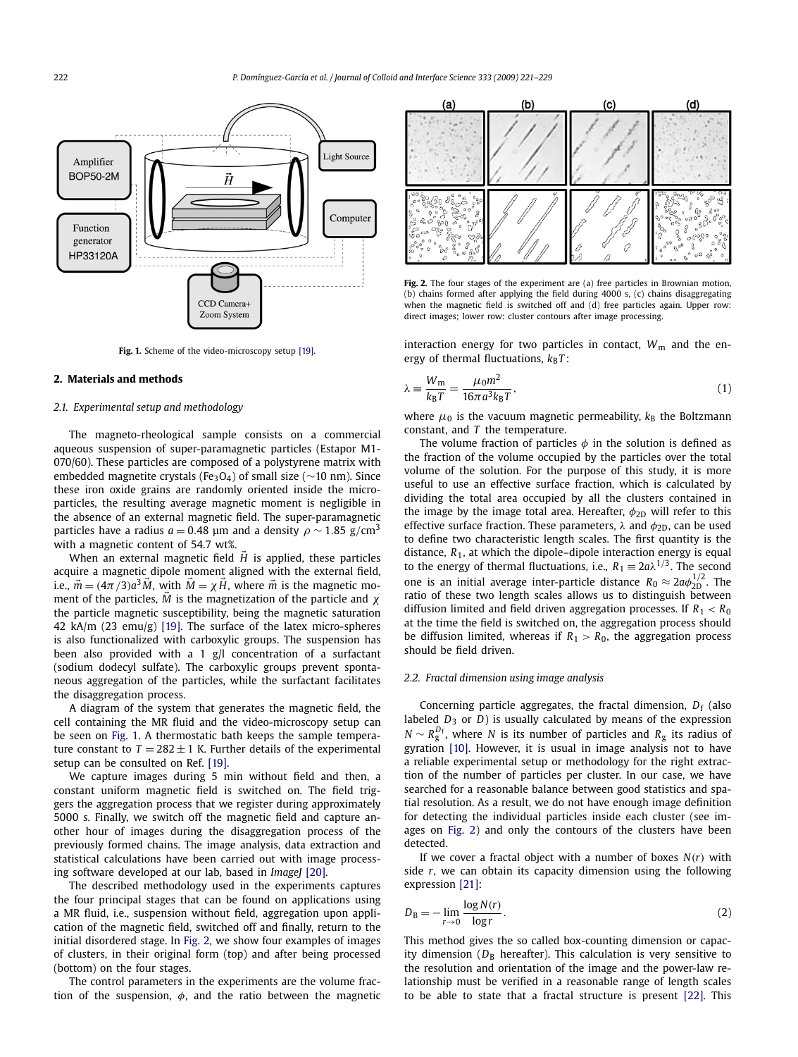<span id="page-1-0"></span>

**Fig. 1.** Scheme of the video-microscopy setup [\[19\].](#page-8-0)

### **2. Materials and methods**

# *2.1. Experimental setup and methodology*

The magneto-rheological sample consists on a commercial aqueous suspension of super-paramagnetic particles (Estapor M1- 070/60). These particles are composed of a polystyrene matrix with embedded magnetite crystals (Fe<sub>3</sub>O<sub>4</sub>) of small size ( $\sim$ 10 nm). Since these iron oxide grains are randomly oriented inside the microparticles, the resulting average magnetic moment is negligible in the absence of an external magnetic field. The super-paramagnetic particles have a radius *a* = 0.48 μm and a density *ρ* ∼ 1.85 g/cm<sup>3</sup> with a magnetic content of 54.7 wt%.

When an external magnetic field *H* is applied, these particles acquire a magnetic dipole moment aligned with the external field, i.e.,  $\vec{m} = (4\pi/3)a^3M$ , with  $\vec{M} = \chi \vec{H}$ , where  $\vec{m}$  is the magnetic moment of the particles, *M* is the magnetization of the particle and *χ* the particle magnetic susceptibility, being the magnetic saturation 42 kA/m (23 emu/g) [\[19\].](#page-8-0) The surface of the latex micro-spheres is also functionalized with carboxylic groups. The suspension has been also provided with a 1 g/l concentration of a surfactant (sodium dodecyl sulfate). The carboxylic groups prevent spontaneous aggregation of the particles, while the surfactant facilitates the disaggregation process.

A diagram of the system that generates the magnetic field, the cell containing the MR fluid and the video-microscopy setup can be seen on Fig. 1. A thermostatic bath keeps the sample temperature constant to  $T = 282 \pm 1$  K. Further details of the experimental setup can be consulted on Ref. [\[19\].](#page-8-0)

We capture images during 5 min without field and then, a constant uniform magnetic field is switched on. The field triggers the aggregation process that we register during approximately 5000 s. Finally, we switch off the magnetic field and capture another hour of images during the disaggregation process of the previously formed chains. The image analysis, data extraction and statistical calculations have been carried out with image processing software developed at our lab, based in *ImageJ* [\[20\].](#page-8-0)

The described methodology used in the experiments captures the four principal stages that can be found on applications using a MR fluid, i.e., suspension without field, aggregation upon application of the magnetic field, switched off and finally, return to the initial disordered stage. In Fig. 2, we show four examples of images of clusters, in their original form (top) and after being processed (bottom) on the four stages.

The control parameters in the experiments are the volume fraction of the suspension,  $\phi$ , and the ratio between the magnetic



**Fig. 2.** The four stages of the experiment are (a) free particles in Brownian motion, (b) chains formed after applying the field during 4000 s, (c) chains disaggregating when the magnetic field is switched off and (d) free particles again. Upper row: direct images; lower row: cluster contours after image processing.

interaction energy for two particles in contact,  $W_m$  and the energy of thermal fluctuations,  $k_B T$ :

$$
\lambda \equiv \frac{W_{\rm m}}{k_{\rm B}T} = \frac{\mu_0 m^2}{16\pi a^3 k_{\rm B}T},\tag{1}
$$

where  $\mu_0$  is the vacuum magnetic permeability,  $k_B$  the Boltzmann constant, and *T* the temperature.

The volume fraction of particles  $\phi$  in the solution is defined as the fraction of the volume occupied by the particles over the total volume of the solution. For the purpose of this study, it is more useful to use an effective surface fraction, which is calculated by dividing the total area occupied by all the clusters contained in the image by the image total area. Hereafter,  $\phi_{2D}$  will refer to this effective surface fraction. These parameters,  $\lambda$  and  $\phi_{2D}$ , can be used to define two characteristic length scales. The first quantity is the distance, *R*1, at which the dipole–dipole interaction energy is equal to the energy of thermal fluctuations, i.e.,  $R_1 \equiv 2a\lambda^{1/3}$ . The second one is an initial average inter-particle distance  $R_0 \approx 2a\phi_{2D}^{1/2}$ . The ratio of these two length scales allows us to distinguish between diffusion limited and field driven aggregation processes. If  $R_1 < R_0$ at the time the field is switched on, the aggregation process should be diffusion limited, whereas if  $R_1 > R_0$ , the aggregation process should be field driven.

# *2.2. Fractal dimension using image analysis*

Concerning particle aggregates, the fractal dimension, *D*<sub>f</sub> (also labeled *D*<sub>3</sub> or *D*) is usually calculated by means of the expression  $N \sim R_g^{D_f}$ , where *N* is its number of particles and  $R_g$  its radius of gyration [\[10\].](#page-8-0) However, it is usual in image analysis not to have a reliable experimental setup or methodology for the right extraction of the number of particles per cluster. In our case, we have searched for a reasonable balance between good statistics and spatial resolution. As a result, we do not have enough image definition for detecting the individual particles inside each cluster (see images on Fig. 2) and only the contours of the clusters have been detected.

If we cover a fractal object with a number of boxes *N(r)* with side *r*, we can obtain its capacity dimension using the following expression [\[21\]:](#page-8-0)

$$
D_{\rm B} = -\lim_{r \to 0} \frac{\log N(r)}{\log r}.
$$
 (2)

This method gives the so called box-counting dimension or capacity dimension  $(D_B$  hereafter). This calculation is very sensitive to the resolution and orientation of the image and the power-law relationship must be verified in a reasonable range of length scales to be able to state that a fractal structure is present [\[22\].](#page-8-0) This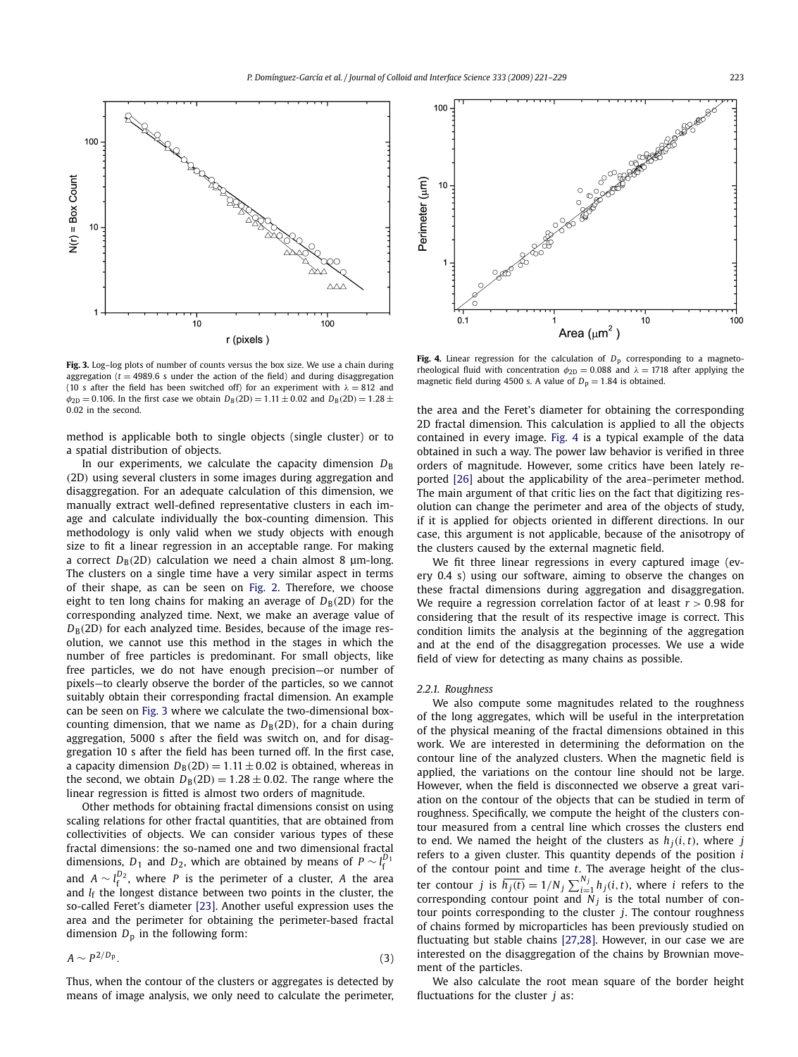

**Fig. 3.** Log–log plots of number of counts versus the box size. We use a chain during aggregation ( $t = 4989.6$  s under the action of the field) and during disaggregation (10 s after the field has been switched off) for an experiment with  $\lambda = 812$  and  $\phi_{2D} = 0.106$ . In the first case we obtain  $D_B(2D) = 1.11 \pm 0.02$  and  $D_B(2D) = 1.28 \pm 0.02$ 0*.*02 in the second.

method is applicable both to single objects (single cluster) or to a spatial distribution of objects.

In our experiments, we calculate the capacity dimension  $D_B$ *(*2D*)* using several clusters in some images during aggregation and disaggregation. For an adequate calculation of this dimension, we manually extract well-defined representative clusters in each image and calculate individually the box-counting dimension. This methodology is only valid when we study objects with enough size to fit a linear regression in an acceptable range. For making a correct  $D_B(2D)$  calculation we need a chain almost 8  $\mu$ m-long. The clusters on a single time have a very similar aspect in terms of their shape, as can be seen on [Fig. 2.](#page-1-0) Therefore, we choose eight to ten long chains for making an average of  $D_B(2D)$  for the corresponding analyzed time. Next, we make an average value of  $D_B(2D)$  for each analyzed time. Besides, because of the image resolution, we cannot use this method in the stages in which the number of free particles is predominant. For small objects, like free particles, we do not have enough precision—or number of pixels—to clearly observe the border of the particles, so we cannot suitably obtain their corresponding fractal dimension. An example can be seen on Fig. 3 where we calculate the two-dimensional boxcounting dimension, that we name as  $D_B(2D)$ , for a chain during aggregation, 5000 s after the field was switch on, and for disaggregation 10 s after the field has been turned off. In the first case, a capacity dimension  $D_B(2D) = 1.11 \pm 0.02$  is obtained, whereas in the second, we obtain  $D_B(2D) = 1.28 \pm 0.02$ . The range where the linear regression is fitted is almost two orders of magnitude.

Other methods for obtaining fractal dimensions consist on using scaling relations for other fractal quantities, that are obtained from collectivities of objects. We can consider various types of these fractal dimensions: the so-named one and two dimensional fractal dimensions,  $D_1$  and  $D_2$ , which are obtained by means of  $P \sim l_f^{D_1}$ and *A* ∼  $l_f^{D_2}$ , where *P* is the perimeter of a cluster, *A* the area and *l*<sub>f</sub> the longest distance between two points in the cluster, the so-called Feret's diameter [\[23\].](#page-8-0) Another useful expression uses the area and the perimeter for obtaining the perimeter-based fractal dimension  $D_p$  in the following form:

$$
A \sim P^{2/D_p}.
$$
 (3)

Thus, when the contour of the clusters or aggregates is detected by means of image analysis, we only need to calculate the perimeter,



**Fig. 4.** Linear regression for the calculation of  $D<sub>p</sub>$  corresponding to a magnetorheological fluid with concentration  $\phi_{2D} = 0.088$  and  $\lambda = 1718$  after applying the magnetic field during 4500 s. A value of  $D_p = 1.84$  is obtained.

the area and the Feret's diameter for obtaining the corresponding 2D fractal dimension. This calculation is applied to all the objects contained in every image. Fig. 4 is a typical example of the data obtained in such a way. The power law behavior is verified in three orders of magnitude. However, some critics have been lately reported [\[26\]](#page-8-0) about the applicability of the area–perimeter method. The main argument of that critic lies on the fact that digitizing resolution can change the perimeter and area of the objects of study, if it is applied for objects oriented in different directions. In our case, this argument is not applicable, because of the anisotropy of the clusters caused by the external magnetic field.

We fit three linear regressions in every captured image (every 0.4 s) using our software, aiming to observe the changes on these fractal dimensions during aggregation and disaggregation. We require a regression correlation factor of at least *r >* 0*.*98 for considering that the result of its respective image is correct. This condition limits the analysis at the beginning of the aggregation and at the end of the disaggregation processes. We use a wide field of view for detecting as many chains as possible.

#### *2.2.1. Roughness*

We also compute some magnitudes related to the roughness of the long aggregates, which will be useful in the interpretation of the physical meaning of the fractal dimensions obtained in this work. We are interested in determining the deformation on the contour line of the analyzed clusters. When the magnetic field is applied, the variations on the contour line should not be large. However, when the field is disconnected we observe a great variation on the contour of the objects that can be studied in term of roughness. Specifically, we compute the height of the clusters contour measured from a central line which crosses the clusters end to end. We named the height of the clusters as  $h_i(i, t)$ , where *j* refers to a given cluster. This quantity depends of the position *i* of the contour point and time *t*. The average height of the cluster contour *j* is  $\overline{h_j(t)} = 1/N_j \sum_{i=1}^{N_j} h_j(i, t)$ , where *i* refers to the corresponding contour point and  $N_j$  is the total number of contour points corresponding to the cluster *j*. The contour roughness of chains formed by microparticles has been previously studied on fluctuating but stable chains [\[27,28\].](#page-8-0) However, in our case we are interested on the disaggregation of the chains by Brownian movement of the particles.

We also calculate the root mean square of the border height fluctuations for the cluster *j* as: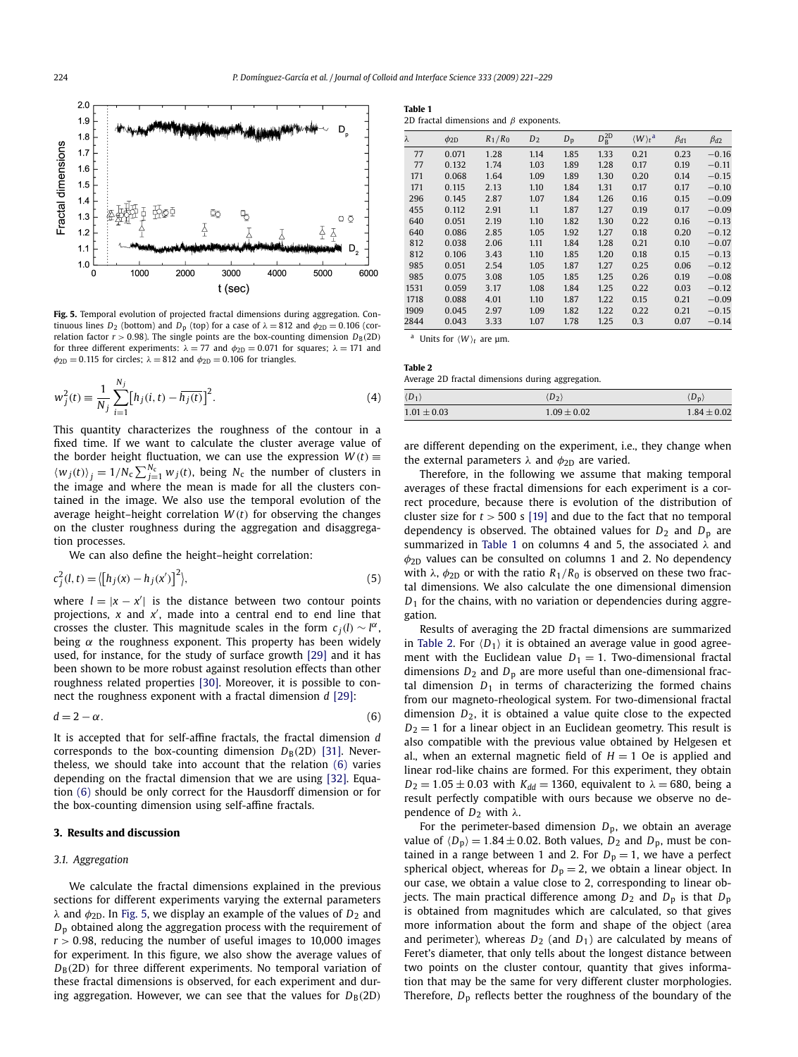<span id="page-3-0"></span>

**Fig. 5.** Temporal evolution of projected fractal dimensions during aggregation. Continuous lines *D*<sub>2</sub> (bottom) and *D*<sub>p</sub> (top) for a case of  $\lambda = 812$  and  $\phi_{2D} = 0.106$  (correlation factor  $r > 0.98$ ). The single points are the box-counting dimension  $D_B(2D)$ for three different experiments:  $\lambda = 77$  and  $\phi_{2D} = 0.071$  for squares;  $\lambda = 171$  and  $\phi_{2D} = 0.115$  for circles;  $\lambda = 812$  and  $\phi_{2D} = 0.106$  for triangles.

$$
w_j^2(t) \equiv \frac{1}{N_j} \sum_{i=1}^{N_j} [h_j(i, t) - \overline{h_j(t)}]^2.
$$
 (4)

This quantity characterizes the roughness of the contour in a fixed time. If we want to calculate the cluster average value of the border height fluctuation, we can use the expression  $W(t)$   $\equiv$  $\langle w_j(t) \rangle_j = 1/N_c \sum_{j=1}^{N_c} w_j(t)$ , being  $N_c$  the number of clusters in the image and where the mean is made for all the clusters contained in the image. We also use the temporal evolution of the average height–height correlation *W (t)* for observing the changes on the cluster roughness during the aggregation and disaggregation processes.

We can also define the height–height correlation:

$$
c_j^2(l,t) = \langle [h_j(x) - h_j(x')]^2 \rangle,
$$
\n(5)

where  $l = |x - x'|$  is the distance between two contour points projections, *x* and *x* , made into a central end to end line that crosses the cluster. This magnitude scales in the form  $c_j(l) \sim l^{\alpha}$ , being  $\alpha$  the roughness exponent. This property has been widely used, for instance, for the study of surface growth [\[29\]](#page-8-0) and it has been shown to be more robust against resolution effects than other roughness related properties [\[30\].](#page-8-0) Moreover, it is possible to connect the roughness exponent with a fractal dimension *d* [\[29\]:](#page-8-0)

$$
d = 2 - \alpha. \tag{6}
$$

It is accepted that for self-affine fractals, the fractal dimension *d* corresponds to the box-counting dimension  $D_B(2D)$  [\[31\].](#page-8-0) Nevertheless, we should take into account that the relation (6) varies depending on the fractal dimension that we are using [\[32\].](#page-8-0) Equation (6) should be only correct for the Hausdorff dimension or for the box-counting dimension using self-affine fractals.

# **3. Results and discussion**

### *3.1. Aggregation*

We calculate the fractal dimensions explained in the previous sections for different experiments varying the external parameters *λ* and *φ*2D. In Fig. 5, we display an example of the values of *D*<sup>2</sup> and *D*<sup>p</sup> obtained along the aggregation process with the requirement of *r >* 0*.*98, reducing the number of useful images to 10,000 images for experiment. In this figure, we also show the average values of  $D_B(2D)$  for three different experiments. No temporal variation of these fractal dimensions is observed, for each experiment and during aggregation. However, we can see that the values for  $D_B(2D)$ 

**Table 1** 2D fractal dimensions and *β* exponents.

| λ    | $\phi_{\rm 2D}$ | $R_1/R_0$ | $D_2$ | $D_{\rm p}$ | $D_{\rm B}^{\rm 2D}$ | $\langle W \rangle_t$ <sup>a</sup> | $\beta_{d1}$ | $\beta_{d2}$ |
|------|-----------------|-----------|-------|-------------|----------------------|------------------------------------|--------------|--------------|
| 77   | 0.071           | 1.28      | 1.14  | 1.85        | 1.33                 | 0.21                               | 0.23         | $-0.16$      |
| 77   | 0.132           | 1.74      | 1.03  | 1.89        | 1.28                 | 0.17                               | 0.19         | $-0.11$      |
| 171  | 0.068           | 1.64      | 1.09  | 1.89        | 1.30                 | 0.20                               | 0.14         | $-0.15$      |
| 171  | 0.115           | 2.13      | 1.10  | 1.84        | 1.31                 | 0.17                               | 0.17         | $-0.10$      |
| 296  | 0.145           | 2.87      | 1.07  | 1.84        | 1.26                 | 0.16                               | 0.15         | $-0.09$      |
| 455  | 0.112           | 2.91      | 1.1   | 1.87        | 1.27                 | 0.19                               | 0.17         | $-0.09$      |
| 640  | 0.051           | 2.19      | 1.10  | 1.82        | 1.30                 | 0.22                               | 0.16         | $-0.13$      |
| 640  | 0.086           | 2.85      | 1.05  | 1.92        | 1.27                 | 0.18                               | 0.20         | $-0.12$      |
| 812  | 0.038           | 2.06      | 1.11  | 1.84        | 1.28                 | 0.21                               | 0.10         | $-0.07$      |
| 812  | 0.106           | 3.43      | 1.10  | 1.85        | 1.20                 | 0.18                               | 0.15         | $-0.13$      |
| 985  | 0.051           | 2.54      | 1.05  | 1.87        | 1.27                 | 0.25                               | 0.06         | $-0.12$      |
| 985  | 0.075           | 3.08      | 1.05  | 1.85        | 1.25                 | 0.26                               | 0.19         | $-0.08$      |
| 1531 | 0.059           | 3.17      | 1.08  | 1.84        | 1.25                 | 0.22                               | 0.03         | $-0.12$      |
| 1718 | 0.088           | 4.01      | 1.10  | 1.87        | 1.22                 | 0.15                               | 0.21         | $-0.09$      |
| 1909 | 0.045           | 2.97      | 1.09  | 1.82        | 1.22                 | 0.22                               | 0.21         | $-0.15$      |
| 2844 | 0.043           | 3.33      | 1.07  | 1.78        | 1.25                 | 0.3                                | 0.07         | $-0.14$      |

<sup>a</sup> Units for  $\langle W \rangle_t$  are  $\mu$ m.

**Table 2**

Average 2D fractal dimensions during aggregation.

| $\langle D_1 \rangle$ | $\langle D_2 \rangle$ | $\langle D_{\rm p}\rangle$ |
|-----------------------|-----------------------|----------------------------|
| $1.01 \pm 0.03$       | $1.09 \pm 0.02$       | $1.84 \pm 0.02$            |

are different depending on the experiment, i.e., they change when the external parameters  $\lambda$  and  $\phi_{2D}$  are varied.

Therefore, in the following we assume that making temporal averages of these fractal dimensions for each experiment is a correct procedure, because there is evolution of the distribution of cluster size for  $t > 500$  s [\[19\]](#page-8-0) and due to the fact that no temporal dependency is observed. The obtained values for  $D_2$  and  $D_p$  are summarized in Table 1 on columns 4 and 5, the associated *λ* and  $\phi_{2D}$  values can be consulted on columns 1 and 2. No dependency with  $λ$ ,  $φ_{2D}$  or with the ratio  $R_1/R_0$  is observed on these two fractal dimensions. We also calculate the one dimensional dimension  $D_1$  for the chains, with no variation or dependencies during aggregation.

Results of averaging the 2D fractal dimensions are summarized in Table 2. For  $\langle D_1 \rangle$  it is obtained an average value in good agreement with the Euclidean value  $D_1 = 1$ . Two-dimensional fractal dimensions  $D_2$  and  $D_p$  are more useful than one-dimensional fractal dimension  $D_1$  in terms of characterizing the formed chains from our magneto-rheological system. For two-dimensional fractal dimension *D*2, it is obtained a value quite close to the expected  $D_2 = 1$  for a linear object in an Euclidean geometry. This result is also compatible with the previous value obtained by Helgesen et al., when an external magnetic field of  $H = 1$  Oe is applied and linear rod-like chains are formed. For this experiment, they obtain  $D_2 = 1.05 \pm 0.03$  with  $K_{dd} = 1360$ , equivalent to  $\lambda = 680$ , being a result perfectly compatible with ours because we observe no dependence of  $D_2$  with  $λ$ .

For the perimeter-based dimension  $D_p$ , we obtain an average value of  $\langle D_p \rangle = 1.84 \pm 0.02$ . Both values,  $D_2$  and  $D_p$ , must be contained in a range between 1 and 2. For  $D_p = 1$ , we have a perfect spherical object, whereas for  $D_p = 2$ , we obtain a linear object. In our case, we obtain a value close to 2, corresponding to linear objects. The main practical difference among  $D_2$  and  $D_p$  is that  $D_p$ is obtained from magnitudes which are calculated, so that gives more information about the form and shape of the object (area and perimeter), whereas  $D_2$  (and  $D_1$ ) are calculated by means of Feret's diameter, that only tells about the longest distance between two points on the cluster contour, quantity that gives information that may be the same for very different cluster morphologies. Therefore,  $D<sub>p</sub>$  reflects better the roughness of the boundary of the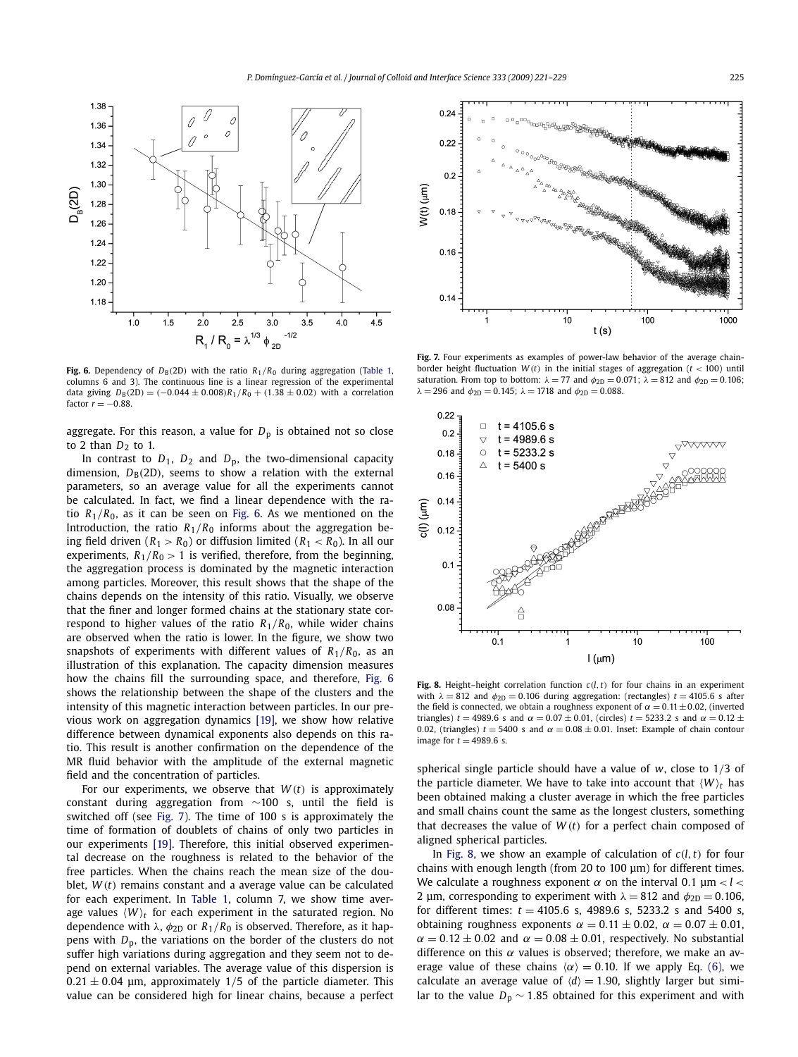<span id="page-4-0"></span>

**Fig. 6.** Dependency of  $D_B(2D)$  with the ratio  $R_1/R_0$  during aggregation [\(Table 1,](#page-3-0) columns 6 and 3). The continuous line is a linear regression of the experimental data giving  $D_B(2D) = (-0.044 \pm 0.008)R_1/R_0 + (1.38 \pm 0.02)$  with a correlation  $factor r = -0.88$ 

aggregate. For this reason, a value for  $D<sub>p</sub>$  is obtained not so close to 2 than *D*<sub>2</sub> to 1.

In contrast to  $D_1$ ,  $D_2$  and  $D_p$ , the two-dimensional capacity dimension,  $D_B(2D)$ , seems to show a relation with the external parameters, so an average value for all the experiments cannot be calculated. In fact, we find a linear dependence with the ratio  $R_1/R_0$ , as it can be seen on Fig. 6. As we mentioned on the Introduction, the ratio  $R_1/R_0$  informs about the aggregation being field driven  $(R_1 > R_0)$  or diffusion limited  $(R_1 < R_0)$ . In all our experiments,  $R_1/R_0 > 1$  is verified, therefore, from the beginning, the aggregation process is dominated by the magnetic interaction among particles. Moreover, this result shows that the shape of the chains depends on the intensity of this ratio. Visually, we observe that the finer and longer formed chains at the stationary state correspond to higher values of the ratio  $R_1/R_0$ , while wider chains are observed when the ratio is lower. In the figure, we show two snapshots of experiments with different values of  $R_1/R_0$ , as an illustration of this explanation. The capacity dimension measures how the chains fill the surrounding space, and therefore, Fig. 6 shows the relationship between the shape of the clusters and the intensity of this magnetic interaction between particles. In our previous work on aggregation dynamics [\[19\],](#page-8-0) we show how relative difference between dynamical exponents also depends on this ratio. This result is another confirmation on the dependence of the MR fluid behavior with the amplitude of the external magnetic field and the concentration of particles.

For our experiments, we observe that  $W(t)$  is approximately constant during aggregation from ∼100 s, until the field is switched off (see Fig. 7). The time of 100 s is approximately the time of formation of doublets of chains of only two particles in our experiments [\[19\].](#page-8-0) Therefore, this initial observed experimental decrease on the roughness is related to the behavior of the free particles. When the chains reach the mean size of the doublet, *W (t)* remains constant and a average value can be calculated for each experiment. In [Table 1,](#page-3-0) column 7, we show time average values  $\langle W \rangle_t$  for each experiment in the saturated region. No dependence with  $λ$ ,  $φ$ <sub>2D</sub> or  $R_1/R_0$  is observed. Therefore, as it happens with *D*p, the variations on the border of the clusters do not suffer high variations during aggregation and they seem not to depend on external variables. The average value of this dispersion is  $0.21 \pm 0.04$  µm, approximately 1/5 of the particle diameter. This value can be considered high for linear chains, because a perfect



**Fig. 7.** Four experiments as examples of power-law behavior of the average chainborder height fluctuation  $W(t)$  in the initial stages of aggregation ( $t < 100$ ) until saturation. From top to bottom:  $\lambda = 77$  and  $\phi_{2D} = 0.071$ ;  $\lambda = 812$  and  $\phi_{2D} = 0.106$ ;  $λ = 296$  and  $φ_{2D} = 0.145$ ;  $λ = 1718$  and  $φ_{2D} = 0.088$ .



**Fig. 8.** Height-height correlation function  $c(l, t)$  for four chains in an experiment with  $\lambda = 812$  and  $\phi_{2D} = 0.106$  during aggregation: (rectangles)  $t = 4105.6$  s after the field is connected, we obtain a roughness exponent of  $\alpha = 0.11 \pm 0.02$ , (inverted triangles)  $t = 4989.6$  s and  $\alpha = 0.07 \pm 0.01$ , (circles)  $t = 5233.2$  s and  $\alpha = 0.12 \pm 0.01$ 0.02, (triangles)  $t = 5400$  s and  $\alpha = 0.08 + 0.01$ . Inset: Example of chain contour image for  $t = 4989.6$  s.

spherical single particle should have a value of *w*, close to 1*/*3 of the particle diameter. We have to take into account that  $\langle W \rangle_t$  has been obtained making a cluster average in which the free particles and small chains count the same as the longest clusters, something that decreases the value of  $W(t)$  for a perfect chain composed of aligned spherical particles.

In Fig. 8, we show an example of calculation of  $c(l, t)$  for four chains with enough length (from 20 to 100 μm) for different times. We calculate a roughness exponent *α* on the interval 0*.*1 μm *< l <* 2 μm, corresponding to experiment with  $λ = 812$  and  $φ_{2D} = 0.106$ , for different times:  $t = 4105.6$  s, 4989.6 s, 5233.2 s and 5400 s, obtaining roughness exponents  $\alpha = 0.11 \pm 0.02$ ,  $\alpha = 0.07 \pm 0.01$ ,  $\alpha = 0.12 \pm 0.02$  and  $\alpha = 0.08 \pm 0.01$ , respectively. No substantial difference on this *α* values is observed; therefore, we make an average value of these chains  $\langle \alpha \rangle = 0.10$ . If we apply Eq. [\(6\),](#page-3-0) we calculate an average value of  $\langle d \rangle = 1.90$ , slightly larger but similar to the value  $D_p \sim 1.85$  obtained for this experiment and with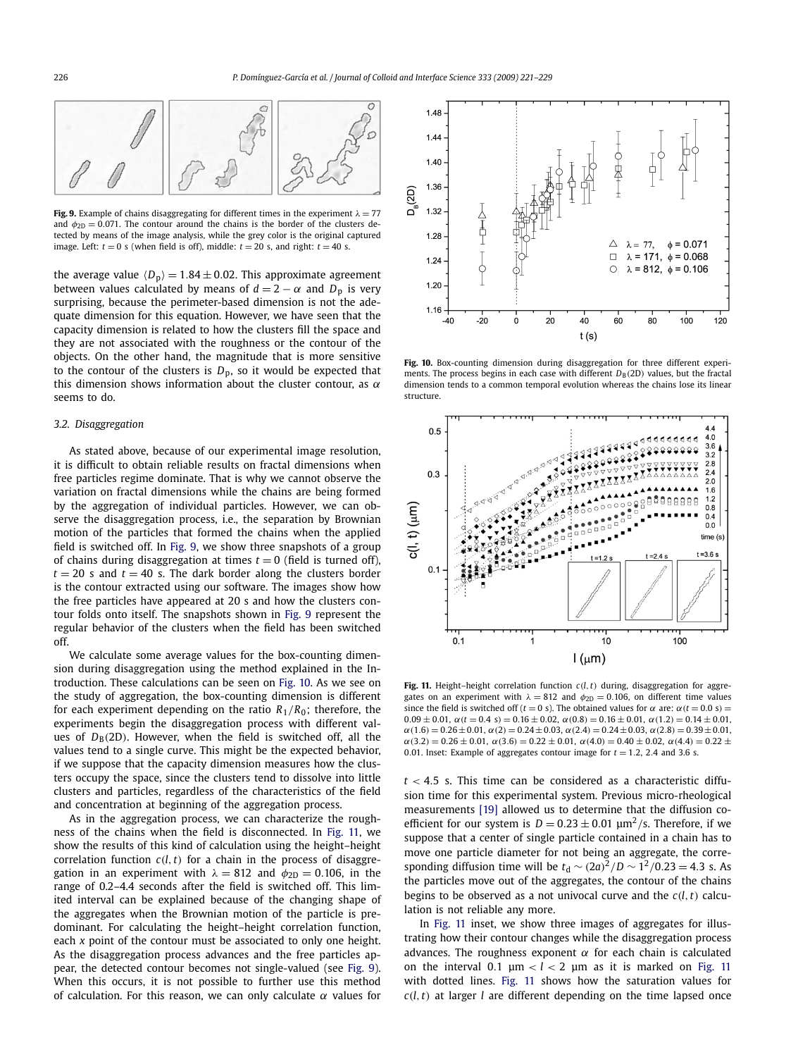<span id="page-5-0"></span>

**Fig. 9.** Example of chains disaggregating for different times in the experiment  $\lambda = 77$ and  $\phi_{2D} = 0.071$ . The contour around the chains is the border of the clusters detected by means of the image analysis, while the grey color is the original captured image. Left:  $t = 0$  s (when field is off), middle:  $t = 20$  s, and right:  $t = 40$  s.

the average value  $\langle D_p \rangle = 1.84 \pm 0.02$ . This approximate agreement between values calculated by means of  $d = 2 - \alpha$  and  $D_p$  is very surprising, because the perimeter-based dimension is not the adequate dimension for this equation. However, we have seen that the capacity dimension is related to how the clusters fill the space and they are not associated with the roughness or the contour of the objects. On the other hand, the magnitude that is more sensitive to the contour of the clusters is  $D_p$ , so it would be expected that this dimension shows information about the cluster contour, as *α* seems to do.

# *3.2. Disaggregation*

As stated above, because of our experimental image resolution, it is difficult to obtain reliable results on fractal dimensions when free particles regime dominate. That is why we cannot observe the variation on fractal dimensions while the chains are being formed by the aggregation of individual particles. However, we can observe the disaggregation process, i.e., the separation by Brownian motion of the particles that formed the chains when the applied field is switched off. In Fig. 9, we show three snapshots of a group of chains during disaggregation at times  $t = 0$  (field is turned off),  $t = 20$  s and  $t = 40$  s. The dark border along the clusters border is the contour extracted using our software. The images show how the free particles have appeared at 20 s and how the clusters contour folds onto itself. The snapshots shown in Fig. 9 represent the regular behavior of the clusters when the field has been switched off.

We calculate some average values for the box-counting dimension during disaggregation using the method explained in the Introduction. These calculations can be seen on Fig. 10. As we see on the study of aggregation, the box-counting dimension is different for each experiment depending on the ratio  $R_1/R_0$ ; therefore, the experiments begin the disaggregation process with different values of  $D_B(2D)$ . However, when the field is switched off, all the values tend to a single curve. This might be the expected behavior, if we suppose that the capacity dimension measures how the clusters occupy the space, since the clusters tend to dissolve into little clusters and particles, regardless of the characteristics of the field and concentration at beginning of the aggregation process.

As in the aggregation process, we can characterize the roughness of the chains when the field is disconnected. In Fig. 11, we show the results of this kind of calculation using the height–height correlation function  $c(l, t)$  for a chain in the process of disaggregation in an experiment with  $\lambda = 812$  and  $\phi_{2D} = 0.106$ , in the range of 0.2–4.4 seconds after the field is switched off. This limited interval can be explained because of the changing shape of the aggregates when the Brownian motion of the particle is predominant. For calculating the height–height correlation function, each *x* point of the contour must be associated to only one height. As the disaggregation process advances and the free particles appear, the detected contour becomes not single-valued (see Fig. 9). When this occurs, it is not possible to further use this method of calculation. For this reason, we can only calculate *α* values for



**Fig. 10.** Box-counting dimension during disaggregation for three different experiments. The process begins in each case with different  $D_B(2D)$  values, but the fractal dimension tends to a common temporal evolution whereas the chains lose its linear structure.



**Fig. 11.** Height–height correlation function *c(l,t)* during, disaggregation for aggregates on an experiment with  $\lambda = 812$  and  $\phi_{2D} = 0.106$ , on different time values since the field is switched off ( $t = 0$  s). The obtained values for  $\alpha$  are:  $\alpha(t = 0.0 \text{ s}) =$  $0.09 \pm 0.01$ ,  $\alpha(t = 0.4 \text{ s}) = 0.16 \pm 0.02$ ,  $\alpha(0.8) = 0.16 \pm 0.01$ ,  $\alpha(1.2) = 0.14 \pm 0.01$ , *α(*1*.*6*)* = <sup>0</sup>*.*26±0*.*01, *α(*2*)* = <sup>0</sup>*.*24±0*.*03, *α(*2*.*4*)* = <sup>0</sup>*.*24±0*.*03, *α(*2*.*8*)* = <sup>0</sup>*.*39±0*.*01,  $\alpha$ (3.2) = 0.26 ± 0.01,  $\alpha$ (3.6) = 0.22 ± 0.01,  $\alpha$ (4.0) = 0.40 ± 0.02,  $\alpha$ (4.4) = 0.22 ± 0.01. Inset: Example of aggregates contour image for  $t = 1.2$ , 2.4 and 3.6 s.

*t <* 4*.*5 s. This time can be considered as a characteristic diffusion time for this experimental system. Previous micro-rheological measurements [\[19\]](#page-8-0) allowed us to determine that the diffusion coefficient for our system is  $D = 0.23 \pm 0.01 \text{ }\mu\text{m}^2/\text{s}$ . Therefore, if we suppose that a center of single particle contained in a chain has to move one particle diameter for not being an aggregate, the corresponding diffusion time will be  $t<sub>d</sub> \sim (2a)^2/D \sim 1^2/0.23 = 4.3$  s. As the particles move out of the aggregates, the contour of the chains begins to be observed as a not univocal curve and the  $c(l, t)$  calculation is not reliable any more.

In Fig. 11 inset, we show three images of aggregates for illustrating how their contour changes while the disaggregation process advances. The roughness exponent  $\alpha$  for each chain is calculated on the interval 0.1  $\mu$ m  $\lt l \lt 2$   $\mu$ m as it is marked on Fig. 11 with dotted lines. Fig. 11 shows how the saturation values for  $c(l, t)$  at larger *l* are different depending on the time lapsed once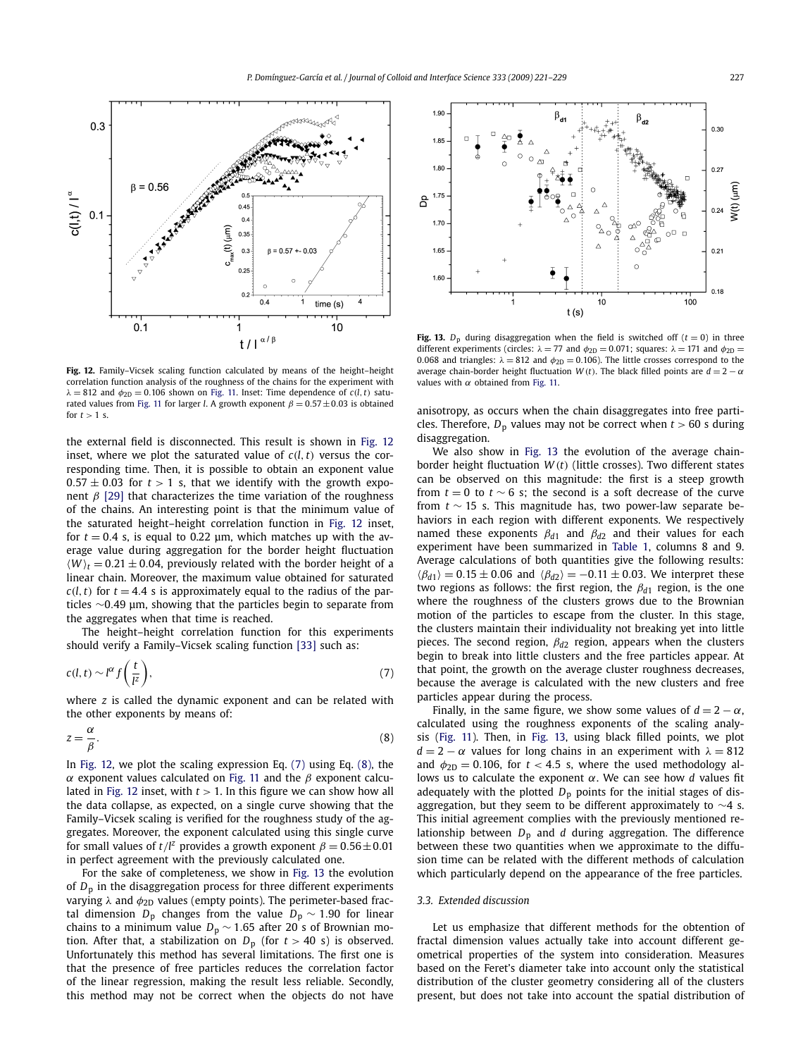<span id="page-6-0"></span>

**Fig. 12.** Family–Vicsek scaling function calculated by means of the height–height correlation function analysis of the roughness of the chains for the experiment with  $\lambda = 812$  and  $\phi_{2D} = 0.106$  shown on [Fig. 11.](#page-5-0) Inset: Time dependence of *c*(*l*,*t*) satu-rated values from [Fig. 11](#page-5-0) for larger *l*. A growth exponent  $\beta = 0.57 \pm 0.03$  is obtained for  $t > 1$  s.

the external field is disconnected. This result is shown in Fig. 12 inset, where we plot the saturated value of  $c(l, t)$  versus the corresponding time. Then, it is possible to obtain an exponent value  $0.57 \pm 0.03$  for  $t > 1$  s, that we identify with the growth exponent  $β$  [\[29\]](#page-8-0) that characterizes the time variation of the roughness of the chains. An interesting point is that the minimum value of the saturated height–height correlation function in Fig. 12 inset, for  $t = 0.4$  s, is equal to 0.22  $\mu$ m, which matches up with the average value during aggregation for the border height fluctuation  $\langle W \rangle_t = 0.21 \pm 0.04$ , previously related with the border height of a linear chain. Moreover, the maximum value obtained for saturated  $c(l, t)$  for  $t = 4.4$  s is approximately equal to the radius of the particles ∼0*.*49 μm, showing that the particles begin to separate from the aggregates when that time is reached.

The height–height correlation function for this experiments should verify a Family–Vicsek scaling function [\[33\]](#page-8-0) such as:

$$
c(l,t) \sim l^{\alpha} f\left(\frac{t}{l^z}\right),\tag{7}
$$

where *z* is called the dynamic exponent and can be related with the other exponents by means of:

$$
z = \frac{\alpha}{\beta}.\tag{8}
$$

In Fig. 12, we plot the scaling expression Eq. (7) using Eq. (8), the *α* exponent values calculated on [Fig. 11](#page-5-0) and the *β* exponent calculated in Fig. 12 inset, with *t >* 1. In this figure we can show how all the data collapse, as expected, on a single curve showing that the Family–Vicsek scaling is verified for the roughness study of the aggregates. Moreover, the exponent calculated using this single curve for small values of  $t/l^2$  provides a growth exponent  $\beta = 0.56 \pm 0.01$ in perfect agreement with the previously calculated one.

For the sake of completeness, we show in Fig. 13 the evolution of  $D_p$  in the disaggregation process for three different experiments varying *λ* and  $φ<sub>2D</sub>$  values (empty points). The perimeter-based fractal dimension  $D_p$  changes from the value  $D_p \sim 1.90$  for linear chains to a minimum value *D*<sup>p</sup> ∼ 1*.*65 after 20 s of Brownian motion. After that, a stabilization on  $D_p$  (for  $t > 40$  s) is observed. Unfortunately this method has several limitations. The first one is that the presence of free particles reduces the correlation factor of the linear regression, making the result less reliable. Secondly, this method may not be correct when the objects do not have



**Fig. 13.**  $D_p$  during disaggregation when the field is switched off ( $t = 0$ ) in three different experiments (circles:  $\lambda = 77$  and  $\phi_{2D} = 0.071$ ; squares:  $\lambda = 171$  and  $\phi_{2D} =$ 0.068 and triangles:  $\lambda = 812$  and  $\phi_{2D} = 0.106$ ). The little crosses correspond to the average chain-border height fluctuation  $W(t)$ . The black filled points are  $d = 2 - \alpha$ values with *α* obtained from [Fig. 11.](#page-5-0)

anisotropy, as occurs when the chain disaggregates into free particles. Therefore,  $D_p$  values may not be correct when  $t > 60$  s during disaggregation.

We also show in Fig. 13 the evolution of the average chainborder height fluctuation *W (t)* (little crosses). Two different states can be observed on this magnitude: the first is a steep growth from  $t = 0$  to  $t \sim 6$  s; the second is a soft decrease of the curve from *t* ∼ 15 s. This magnitude has, two power-law separate behaviors in each region with different exponents. We respectively named these exponents  $\beta_{d1}$  and  $\beta_{d2}$  and their values for each experiment have been summarized in [Table 1,](#page-3-0) columns 8 and 9. Average calculations of both quantities give the following results:  $\langle \beta_{d1} \rangle = 0.15 \pm 0.06$  and  $\langle \beta_{d2} \rangle = -0.11 \pm 0.03$ . We interpret these two regions as follows: the first region, the  $\beta_{d1}$  region, is the one where the roughness of the clusters grows due to the Brownian motion of the particles to escape from the cluster. In this stage, the clusters maintain their individuality not breaking yet into little pieces. The second region, *βd*<sup>2</sup> region, appears when the clusters begin to break into little clusters and the free particles appear. At that point, the growth on the average cluster roughness decreases, because the average is calculated with the new clusters and free particles appear during the process.

Finally, in the same figure, we show some values of  $d = 2 - \alpha$ , calculated using the roughness exponents of the scaling analysis [\(Fig. 11\)](#page-5-0). Then, in Fig. 13, using black filled points, we plot  $d = 2 - \alpha$  values for long chains in an experiment with  $\lambda = 812$ and  $\phi_{2D} = 0.106$ , for  $t < 4.5$  s, where the used methodology allows us to calculate the exponent *α*. We can see how *d* values fit adequately with the plotted  $D_p$  points for the initial stages of disaggregation, but they seem to be different approximately to ∼4 s. This initial agreement complies with the previously mentioned relationship between *D*<sup>p</sup> and *d* during aggregation. The difference between these two quantities when we approximate to the diffusion time can be related with the different methods of calculation which particularly depend on the appearance of the free particles.

# *3.3. Extended discussion*

Let us emphasize that different methods for the obtention of fractal dimension values actually take into account different geometrical properties of the system into consideration. Measures based on the Feret's diameter take into account only the statistical distribution of the cluster geometry considering all of the clusters present, but does not take into account the spatial distribution of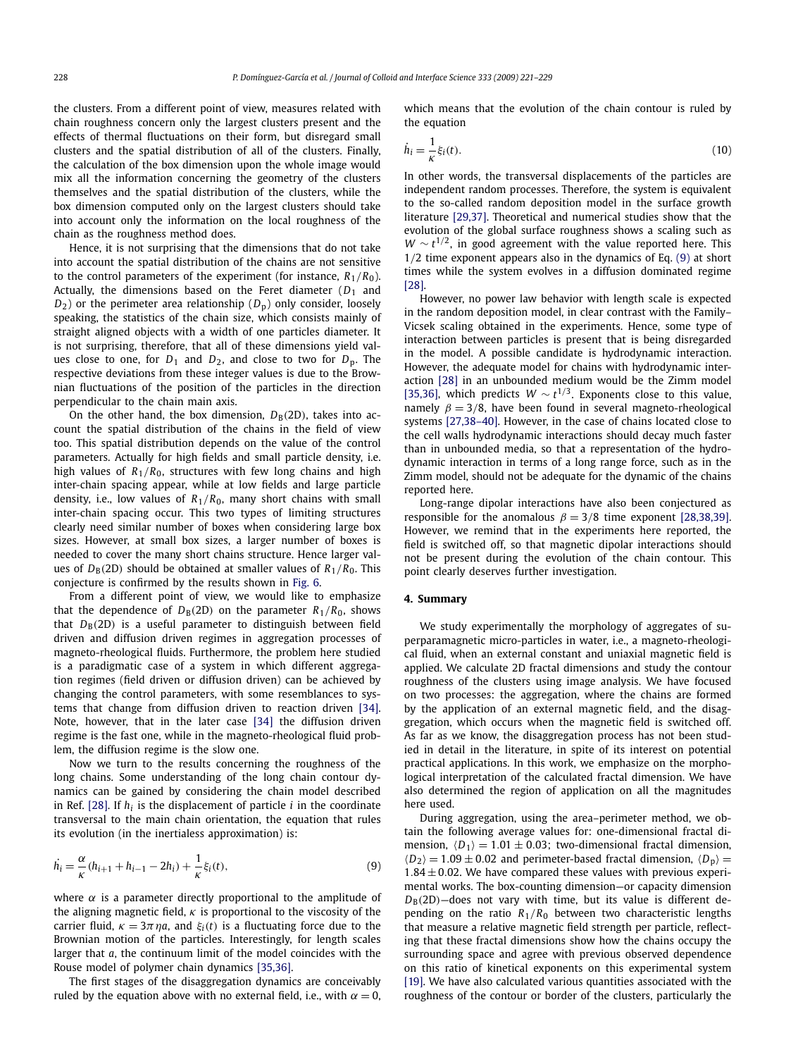the clusters. From a different point of view, measures related with chain roughness concern only the largest clusters present and the effects of thermal fluctuations on their form, but disregard small clusters and the spatial distribution of all of the clusters. Finally, the calculation of the box dimension upon the whole image would mix all the information concerning the geometry of the clusters themselves and the spatial distribution of the clusters, while the box dimension computed only on the largest clusters should take into account only the information on the local roughness of the chain as the roughness method does.

Hence, it is not surprising that the dimensions that do not take into account the spatial distribution of the chains are not sensitive to the control parameters of the experiment (for instance,  $R_1/R_0$ ). Actually, the dimensions based on the Feret diameter  $(D_1)$  and  $D_2$ ) or the perimeter area relationship ( $D_p$ ) only consider, loosely speaking, the statistics of the chain size, which consists mainly of straight aligned objects with a width of one particles diameter. It is not surprising, therefore, that all of these dimensions yield values close to one, for  $D_1$  and  $D_2$ , and close to two for  $D_p$ . The respective deviations from these integer values is due to the Brownian fluctuations of the position of the particles in the direction perpendicular to the chain main axis.

On the other hand, the box dimension,  $D_B(2D)$ , takes into account the spatial distribution of the chains in the field of view too. This spatial distribution depends on the value of the control parameters. Actually for high fields and small particle density, i.e. high values of  $R_1/R_0$ , structures with few long chains and high inter-chain spacing appear, while at low fields and large particle density, i.e., low values of  $R_1/R_0$ , many short chains with small inter-chain spacing occur. This two types of limiting structures clearly need similar number of boxes when considering large box sizes. However, at small box sizes, a larger number of boxes is needed to cover the many short chains structure. Hence larger values of  $D_B(2D)$  should be obtained at smaller values of  $R_1/R_0$ . This conjecture is confirmed by the results shown in [Fig. 6.](#page-4-0)

From a different point of view, we would like to emphasize that the dependence of  $D_B(2D)$  on the parameter  $R_1/R_0$ , shows that  $D_B(2D)$  is a useful parameter to distinguish between field driven and diffusion driven regimes in aggregation processes of magneto-rheological fluids. Furthermore, the problem here studied is a paradigmatic case of a system in which different aggregation regimes (field driven or diffusion driven) can be achieved by changing the control parameters, with some resemblances to systems that change from diffusion driven to reaction driven [\[34\].](#page-8-0) Note, however, that in the later case [\[34\]](#page-8-0) the diffusion driven regime is the fast one, while in the magneto-rheological fluid problem, the diffusion regime is the slow one.

Now we turn to the results concerning the roughness of the long chains. Some understanding of the long chain contour dynamics can be gained by considering the chain model described in Ref. [\[28\].](#page-8-0) If *hi* is the displacement of particle *i* in the coordinate transversal to the main chain orientation, the equation that rules its evolution (in the inertialess approximation) is:

$$
\dot{h}_i = \frac{\alpha}{\kappa} (h_{i+1} + h_{i-1} - 2h_i) + \frac{1}{\kappa} \xi_i(t),
$$
\n(9)

where  $\alpha$  is a parameter directly proportional to the amplitude of the aligning magnetic field,  $\kappa$  is proportional to the viscosity of the carrier fluid,  $\kappa = 3\pi \eta a$ , and  $\xi_i(t)$  is a fluctuating force due to the Brownian motion of the particles. Interestingly, for length scales larger that *a*, the continuum limit of the model coincides with the Rouse model of polymer chain dynamics [\[35,36\].](#page-8-0)

The first stages of the disaggregation dynamics are conceivably ruled by the equation above with no external field, i.e., with  $\alpha = 0$ , which means that the evolution of the chain contour is ruled by the equation

$$
\dot{h}_i = \frac{1}{\kappa} \xi_i(t). \tag{10}
$$

In other words, the transversal displacements of the particles are independent random processes. Therefore, the system is equivalent to the so-called random deposition model in the surface growth literature [\[29,37\].](#page-8-0) Theoretical and numerical studies show that the evolution of the global surface roughness shows a scaling such as *W* ∼ *t*<sup>1/2</sup>, in good agreement with the value reported here. This 1*/*2 time exponent appears also in the dynamics of Eq. (9) at short times while the system evolves in a diffusion dominated regime [\[28\].](#page-8-0)

However, no power law behavior with length scale is expected in the random deposition model, in clear contrast with the Family– Vicsek scaling obtained in the experiments. Hence, some type of interaction between particles is present that is being disregarded in the model. A possible candidate is hydrodynamic interaction. However, the adequate model for chains with hydrodynamic interaction [\[28\]](#page-8-0) in an unbounded medium would be the Zimm model [\[35,36\],](#page-8-0) which predicts  $W \sim t^{1/3}$ . Exponents close to this value, namely *β* = 3*/*8, have been found in several magneto-rheological systems [\[27,38–40\].](#page-8-0) However, in the case of chains located close to the cell walls hydrodynamic interactions should decay much faster than in unbounded media, so that a representation of the hydrodynamic interaction in terms of a long range force, such as in the Zimm model, should not be adequate for the dynamic of the chains reported here.

Long-range dipolar interactions have also been conjectured as responsible for the anomalous  $\beta = 3/8$  time exponent [\[28,38,39\].](#page-8-0) However, we remind that in the experiments here reported, the field is switched off, so that magnetic dipolar interactions should not be present during the evolution of the chain contour. This point clearly deserves further investigation.

# **4. Summary**

We study experimentally the morphology of aggregates of superparamagnetic micro-particles in water, i.e., a magneto-rheological fluid, when an external constant and uniaxial magnetic field is applied. We calculate 2D fractal dimensions and study the contour roughness of the clusters using image analysis. We have focused on two processes: the aggregation, where the chains are formed by the application of an external magnetic field, and the disaggregation, which occurs when the magnetic field is switched off. As far as we know, the disaggregation process has not been studied in detail in the literature, in spite of its interest on potential practical applications. In this work, we emphasize on the morphological interpretation of the calculated fractal dimension. We have also determined the region of application on all the magnitudes here used.

During aggregation, using the area–perimeter method, we obtain the following average values for: one-dimensional fractal dimension,  $\langle D_1 \rangle = 1.01 \pm 0.03$ ; two-dimensional fractal dimension,  $\langle D_2 \rangle = 1.09 \pm 0.02$  and perimeter-based fractal dimension,  $\langle D_p \rangle =$  $1.84 \pm 0.02$ . We have compared these values with previous experimental works. The box-counting dimension—or capacity dimension  $D_B(2D)$ —does not vary with time, but its value is different depending on the ratio  $R_1/R_0$  between two characteristic lengths that measure a relative magnetic field strength per particle, reflecting that these fractal dimensions show how the chains occupy the surrounding space and agree with previous observed dependence on this ratio of kinetical exponents on this experimental system [\[19\].](#page-8-0) We have also calculated various quantities associated with the roughness of the contour or border of the clusters, particularly the